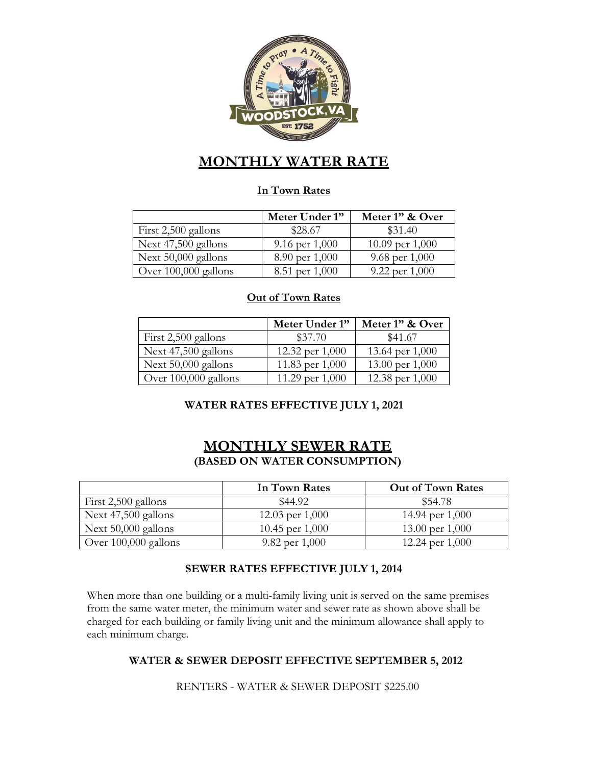

# **MONTHLY WATER RATE**

#### **In Town Rates**

|                      | Meter Under 1" | Meter 1" & Over   |
|----------------------|----------------|-------------------|
| First 2,500 gallons  | \$28.67        | \$31.40           |
| Next 47,500 gallons  | 9.16 per 1,000 | 10.09 per $1,000$ |
| Next 50,000 gallons  | 8.90 per 1,000 | 9.68 per $1,000$  |
| Over 100,000 gallons | 8.51 per 1,000 | 9.22 per $1,000$  |

#### **Out of Town Rates**

|                      | Meter Under 1"  | Meter 1" & Over |
|----------------------|-----------------|-----------------|
| First 2,500 gallons  | \$37.70         | \$41.67         |
| Next 47,500 gallons  | 12.32 per 1,000 | 13.64 per 1,000 |
| Next 50,000 gallons  | 11.83 per 1,000 | 13.00 per 1,000 |
| Over 100,000 gallons | 11.29 per 1,000 | 12.38 per 1,000 |

### **WATER RATES EFFECTIVE JULY 1, 2021**

## **MONTHLY SEWER RATE (BASED ON WATER CONSUMPTION)**

|                      | In Town Rates     | <b>Out of Town Rates</b> |
|----------------------|-------------------|--------------------------|
| First 2,500 gallons  | \$44.92           | \$54.78                  |
| Next 47,500 gallons  | 12.03 per $1,000$ | 14.94 per $1,000$        |
| Next 50,000 gallons  | 10.45 per $1,000$ | 13.00 per $1,000$        |
| Over 100,000 gallons | 9.82 per $1,000$  | 12.24 per $1,000$        |

#### **SEWER RATES EFFECTIVE JULY 1, 2014**

When more than one building or a multi-family living unit is served on the same premises from the same water meter, the minimum water and sewer rate as shown above shall be charged for each building or family living unit and the minimum allowance shall apply to each minimum charge.

#### **WATER & SEWER DEPOSIT EFFECTIVE SEPTEMBER 5, 2012**

RENTERS - WATER & SEWER DEPOSIT \$225.00